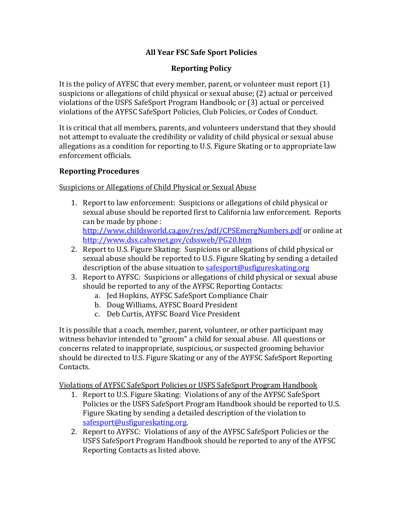# **All Year FSC Safe Sport Policies**

# **Reporting Policy**

It is the policy of AYFSC that every member, parent, or volunteer must report  $(1)$ suspicions or allegations of child physical or sexual abuse; (2) actual or perceived violations of the USFS SafeSport Program Handbook; or (3) actual or perceived violations of the AYFSC SafeSport Policies, Club Policies, or Codes of Conduct.

It is critical that all members, parents, and volunteers understand that they should not attempt to evaluate the credibility or validity of child physical or sexual abuse allegations as a condition for reporting to U.S. Figure Skating or to appropriate law enforcement officials.

### **Reporting Procedures**

Suspicions or Allegations of Child Physical or Sexual Abuse

- 1. Report to law enforcement: Suspicions or allegations of child physical or sexual abuse should be reported first to California law enforcement. Reports can be made by phone : http://www.childsworld.ca.gov/res/pdf/CPSEmergNumbers.pdf or online at http://www.dss.cahwnet.gov/cdssweb/PG20.htm
- 2. Report to U.S. Figure Skating: Suspicions or allegations of child physical or sexual abuse should be reported to U.S. Figure Skating by sending a detailed description of the abuse situation to safesport@usfigureskating.org
- 3. Report to AYFSC: Suspicions or allegations of child physical or sexual abuse should be reported to any of the AYFSC Reporting Contacts:
	- a. Jed Hopkins, AYFSC SafeSport Compliance Chair
	- b. Doug Williams, AYFSC Board President
	- c. Deb Curtis, AYFSC Board Vice President

It is possible that a coach, member, parent, volunteer, or other participant may witness behavior intended to "groom" a child for sexual abuse. All questions or concerns related to inappropriate, suspicious, or suspected grooming behavior should be directed to U.S. Figure Skating or any of the AYFSC SafeSport Reporting Contacts.

Violations of AYFSC SafeSport Policies or USFS SafeSport Program Handbook

- 1. Report to U.S. Figure Skating: Violations of any of the AYFSC SafeSport Policies or the USFS SafeSport Program Handbook should be reported to U.S. Figure Skating by sending a detailed description of the violation to safesport@usfigureskating.org.
- 2. Report to AYFSC: Violations of any of the AYFSC SafeSport Policies or the USFS SafeSport Program Handbook should be reported to any of the AYFSC Reporting Contacts as listed above.